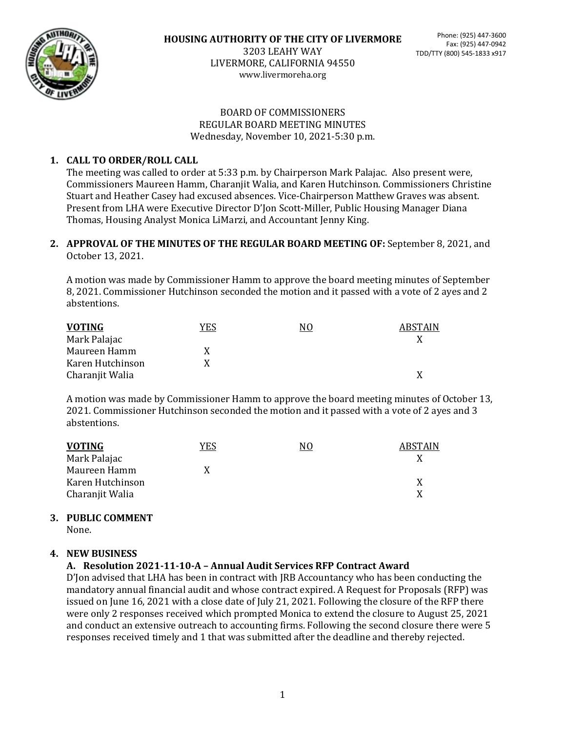

#### BOARD OF COMMISSIONERS REGULAR BOARD MEETING MINUTES Wednesday, November 10, 2021-5:30 p.m.

# **1. CALL TO ORDER/ROLL CALL**

The meeting was called to order at 5:33 p.m. by Chairperson Mark Palajac. Also present were, Commissioners Maureen Hamm, Charanjit Walia, and Karen Hutchinson. Commissioners Christine Stuart and Heather Casey had excused absences. Vice-Chairperson Matthew Graves was absent. Present from LHA were Executive Director D'Jon Scott-Miller, Public Housing Manager Diana Thomas, Housing Analyst Monica LiMarzi, and Accountant Jenny King.

#### **2. APPROVAL OF THE MINUTES OF THE REGULAR BOARD MEETING OF:** September 8, 2021, and October 13, 2021.

A motion was made by Commissioner Hamm to approve the board meeting minutes of September 8, 2021. Commissioner Hutchinson seconded the motion and it passed with a vote of 2 ayes and 2 abstentions.

| <b>VOTING</b>    | YES | NO | <b>ABSTAIN</b> |
|------------------|-----|----|----------------|
| Mark Palajac     |     |    |                |
| Maureen Hamm     | x   |    |                |
| Karen Hutchinson | X   |    |                |
| Charanjit Walia  |     |    |                |

A motion was made by Commissioner Hamm to approve the board meeting minutes of October 13, 2021. Commissioner Hutchinson seconded the motion and it passed with a vote of 2 ayes and 3 abstentions.

| <b>VOTING</b>    | <b>YES</b> | NO | <b>ABSTAIN</b> |
|------------------|------------|----|----------------|
| Mark Palajac     |            |    |                |
| Maureen Hamm     | X          |    |                |
| Karen Hutchinson |            |    |                |
| Charanjit Walia  |            |    |                |

## **3. PUBLIC COMMENT**

None.

## **4. NEW BUSINESS**

## **A. Resolution 2021-11-10-A – Annual Audit Services RFP Contract Award**

D'Jon advised that LHA has been in contract with JRB Accountancy who has been conducting the mandatory annual financial audit and whose contract expired. A Request for Proposals (RFP) was issued on June 16, 2021 with a close date of July 21, 2021. Following the closure of the RFP there were only 2 responses received which prompted Monica to extend the closure to August 25, 2021 and conduct an extensive outreach to accounting firms. Following the second closure there were 5 responses received timely and 1 that was submitted after the deadline and thereby rejected.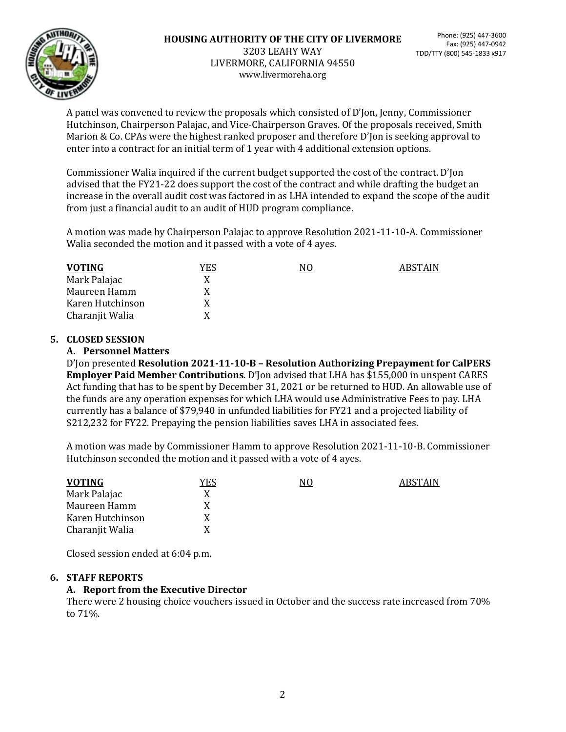

A panel was convened to review the proposals which consisted of D'Jon, Jenny, Commissioner Hutchinson, Chairperson Palajac, and Vice-Chairperson Graves. Of the proposals received, Smith Marion & Co. CPAs were the highest ranked proposer and therefore D'Jon is seeking approval to enter into a contract for an initial term of 1 year with 4 additional extension options.

Commissioner Walia inquired if the current budget supported the cost of the contract. D'Jon advised that the FY21-22 does support the cost of the contract and while drafting the budget an increase in the overall audit cost was factored in as LHA intended to expand the scope of the audit from just a financial audit to an audit of HUD program compliance.

A motion was made by Chairperson Palajac to approve Resolution 2021-11-10-A. Commissioner Walia seconded the motion and it passed with a vote of 4 ayes.

| <b>VOTING</b>    | <u>YES</u> | NO | <b>ABSTAIN</b> |
|------------------|------------|----|----------------|
| Mark Palajac     |            |    |                |
| Maureen Hamm     |            |    |                |
| Karen Hutchinson |            |    |                |
| Charanjit Walia  | X          |    |                |

## **5. CLOSED SESSION**

#### **A. Personnel Matters**

D'Jon presented **Resolution 2021-11-10-B – Resolution Authorizing Prepayment for CalPERS Employer Paid Member Contributions**. D'Jon advised that LHA has \$155,000 in unspent CARES Act funding that has to be spent by December 31, 2021 or be returned to HUD. An allowable use of the funds are any operation expenses for which LHA would use Administrative Fees to pay. LHA currently has a balance of \$79,940 in unfunded liabilities for FY21 and a projected liability of \$212,232 for FY22. Prepaying the pension liabilities saves LHA in associated fees.

A motion was made by Commissioner Hamm to approve Resolution 2021-11-10-B. Commissioner Hutchinson seconded the motion and it passed with a vote of 4 ayes.

| <b>VOTING</b>    | YES | N0 | <b>ARSTAIN</b> |
|------------------|-----|----|----------------|
| Mark Palajac     |     |    |                |
| Maureen Hamm     |     |    |                |
| Karen Hutchinson |     |    |                |
| Charanjit Walia  |     |    |                |

Closed session ended at 6:04 p.m.

## **6. STAFF REPORTS**

## **A. Report from the Executive Director**

There were 2 housing choice vouchers issued in October and the success rate increased from 70% to 71%.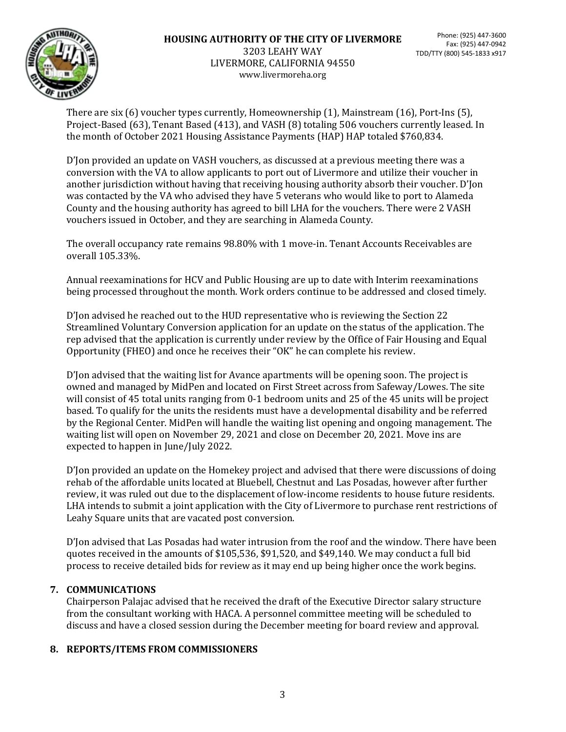

There are six (6) voucher types currently, Homeownership (1), Mainstream (16), Port-Ins (5), Project-Based (63), Tenant Based (413), and VASH (8) totaling 506 vouchers currently leased. In the month of October 2021 Housing Assistance Payments (HAP) HAP totaled \$760,834.

D'Jon provided an update on VASH vouchers, as discussed at a previous meeting there was a conversion with the VA to allow applicants to port out of Livermore and utilize their voucher in another jurisdiction without having that receiving housing authority absorb their voucher. D'Jon was contacted by the VA who advised they have 5 veterans who would like to port to Alameda County and the housing authority has agreed to bill LHA for the vouchers. There were 2 VASH vouchers issued in October, and they are searching in Alameda County.

The overall occupancy rate remains 98.80% with 1 move-in. Tenant Accounts Receivables are overall 105.33%.

Annual reexaminations for HCV and Public Housing are up to date with Interim reexaminations being processed throughout the month. Work orders continue to be addressed and closed timely.

D'Jon advised he reached out to the HUD representative who is reviewing the Section 22 Streamlined Voluntary Conversion application for an update on the status of the application. The rep advised that the application is currently under review by the Office of Fair Housing and Equal Opportunity (FHEO) and once he receives their "OK" he can complete his review.

D'Jon advised that the waiting list for Avance apartments will be opening soon. The project is owned and managed by MidPen and located on First Street across from Safeway/Lowes. The site will consist of 45 total units ranging from 0-1 bedroom units and 25 of the 45 units will be project based. To qualify for the units the residents must have a developmental disability and be referred by the Regional Center. MidPen will handle the waiting list opening and ongoing management. The waiting list will open on November 29, 2021 and close on December 20, 2021. Move ins are expected to happen in June/July 2022.

D'Jon provided an update on the Homekey project and advised that there were discussions of doing rehab of the affordable units located at Bluebell, Chestnut and Las Posadas, however after further review, it was ruled out due to the displacement of low-income residents to house future residents. LHA intends to submit a joint application with the City of Livermore to purchase rent restrictions of Leahy Square units that are vacated post conversion.

D'Jon advised that Las Posadas had water intrusion from the roof and the window. There have been quotes received in the amounts of \$105,536, \$91,520, and \$49,140. We may conduct a full bid process to receive detailed bids for review as it may end up being higher once the work begins.

# **7. COMMUNICATIONS**

Chairperson Palajac advised that he received the draft of the Executive Director salary structure from the consultant working with HACA. A personnel committee meeting will be scheduled to discuss and have a closed session during the December meeting for board review and approval.

## **8. REPORTS/ITEMS FROM COMMISSIONERS**